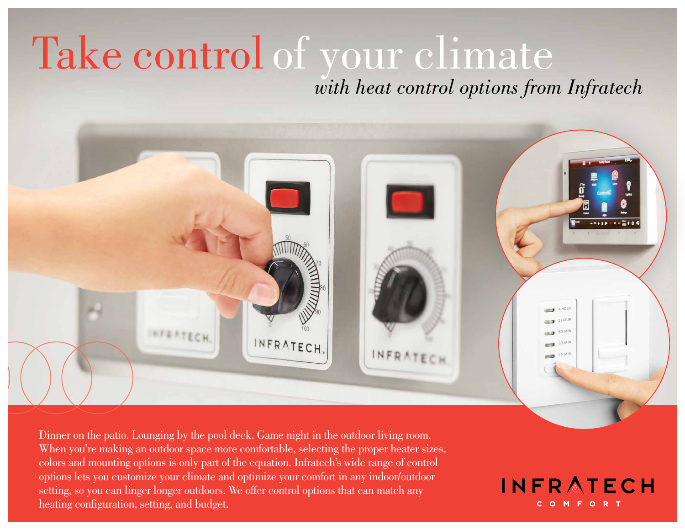# Take control of your climate *with heat control options from Infratech*



Dinner on the patio. Lounging by the pool deck. Game night in the outdoor living room. When you're making an outdoor space more comfortable, selecting the proper heater sizes, colors and mounting options is only part of the equation. Infratech's wide range of control options lets you customize your climate and optimize your comfort in any indoor/outdoor setting, so you can linger longer outdoors. We offer control options that can match any heating configuration, setting, and budget.

**INFRATECH** COMFORT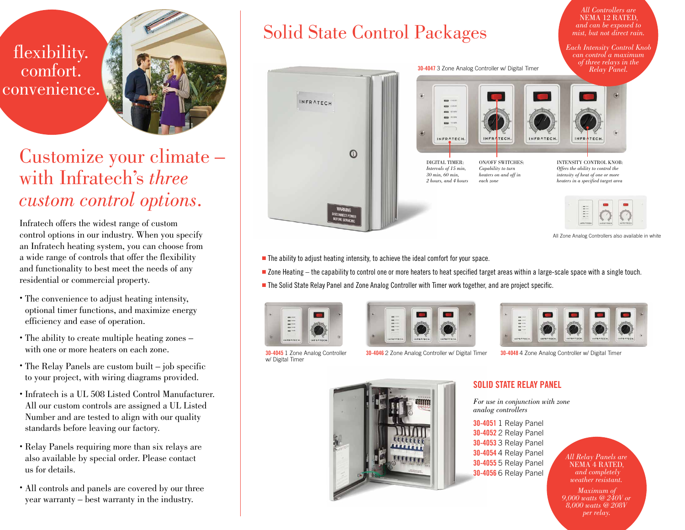![](_page_1_Picture_0.jpeg)

![](_page_1_Picture_1.jpeg)

# Customize your climate – with Infratech's *three custom control options*.

Infratech offers the widest range of custom control options in our industry. When you specify an Infratech heating system, you can choose from a wide range of controls that offer the flexibility and functionality to best meet the needs of any residential or commercial property.

- The convenience to adjust heating intensity, optional timer functions, and maximize energy efficiency and ease of operation.
- The ability to create multiple heating zones with one or more heaters on each zone.
- The Relay Panels are custom built job specific to your project, with wiring diagrams provided.
- Infratech is a UL 508 Listed Control Manufacturer. All our custom controls are assigned a UL Listed Number and are tested to align with our quality standards before leaving our factory.
- Relay Panels requiring more than six relays are also available by special order. Please contact us for details.
- All controls and panels are covered by our three year warranty – best warranty in the industry.

# Solid State Control Packages

![](_page_1_Picture_11.jpeg)

All Zone Analog Controllers also available in white

*All Controllers are* NEMA 12 RATED*, and can be exposed to mist, but not direct rain. Each Intensity Control Knob* 

 $\blacksquare$  The ability to adjust heating intensity, to achieve the ideal comfort for your space.

<sup>n</sup> Zone Heating – the capability to control one or more heaters to heat specified target areas within a large-scale space with a single touch.

<sup>n</sup> The Solid State Relay Panel and Zone Analog Controller with Timer work together, and are project specific.

![](_page_1_Picture_16.jpeg)

![](_page_1_Figure_17.jpeg)

w/ Digital Timer

**30-4045** 1 Zone Analog Controller **30-4046** 2 Zone Analog Controller w/ Digital Timer **30-4048** 4 Zone Analog Controller w/ Digital Timer

![](_page_1_Picture_22.jpeg)

# **SOLID STATE RELAY PANEL**

*For use in conjunction with zone analog controllers*

**30-4051** 1 Relay Panel **30-4052** 2 Relay Panel **30-4053** 3 Relay Panel **30-4054** 4 Relay Panel **30-4055** 5 Relay Panel **30-4056** 6 Relay Panel

*All Relay Panels are* and completely *weather resistant.*

*Maximum of 9,000 watts @ 240V or 8,000 watts @ 208V per relay.*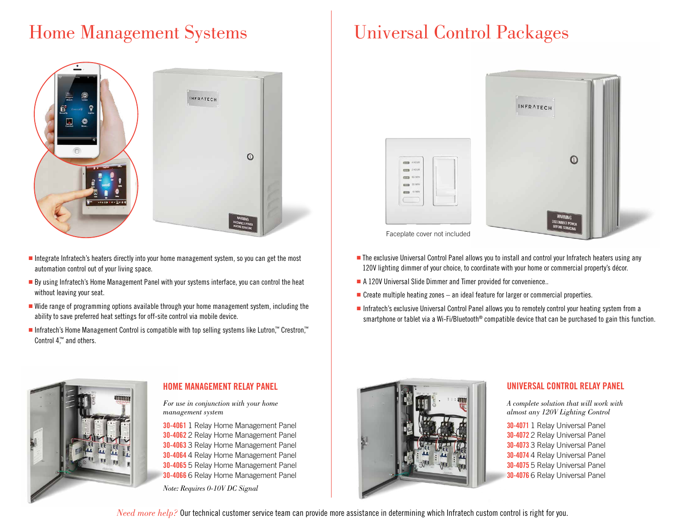# Home Management Systems | Universal Control Packages

![](_page_2_Picture_1.jpeg)

- $\blacksquare$  Integrate Infratech's heaters directly into your home management system, so you can get the most automation control out of your living space.
- **By** using Infratech's Home Management Panel with your systems interface, you can control the heat without leaving your seat.
- <sup>n</sup> Wide range of programming options available through your home management system, including the ability to save preferred heat settings for off-site control via mobile device.
- Infratech's Home Management Control is compatible with top selling systems like Lutron,™ Crestron,™ Control 4<sup>™</sup> and others.

![](_page_2_Picture_6.jpeg)

## **HOME MANAGEMENT RELAY PANEL**

*For use in conjunction with your home management system*

**30-4061** 1 Relay Home Management Panel **30-4062** 2 Relay Home Management Panel **30-4063** 3 Relay Home Management Panel **30-4064** 4 Relay Home Management Panel **30-4065** 5 Relay Home Management Panel **30-4066** 6 Relay Home Management Panel

*Note: Requires 0-10V DC Signal*

![](_page_2_Picture_12.jpeg)

![](_page_2_Picture_13.jpeg)

Faceplate cover not included

- The exclusive Universal Control Panel allows you to install and control your Infratech heaters using any 120V lighting dimmer of your choice, to coordinate with your home or commercial property's décor.
- $\blacksquare$  A 120V Universal Slide Dimmer and Timer provided for convenience..
- $\blacksquare$  Create multiple heating zones an ideal feature for larger or commercial properties.
- **n** Infratech's exclusive Universal Control Panel allows you to remotely control your heating system from a smartphone or tablet via a Wi-Fi/Bluetooth<sup>®</sup> compatible device that can be purchased to gain this function.

![](_page_2_Picture_19.jpeg)

## **UNIVERSAL CONTROL RELAY PANEL**

*A complete solution that will work with almost any 120V Lighting Control*

**30-4071** 1 Relay Universal Panel **30-4072** 2 Relay Universal Panel **30-4073** 3 Relay Universal Panel **30-4074** 4 Relay Universal Panel **30-4075** 5 Relay Universal Panel **30-4076** 6 Relay Universal Panel

*Need more help?* Our technical customer service team can provide more assistance in determining which Infratech custom control is right for you.